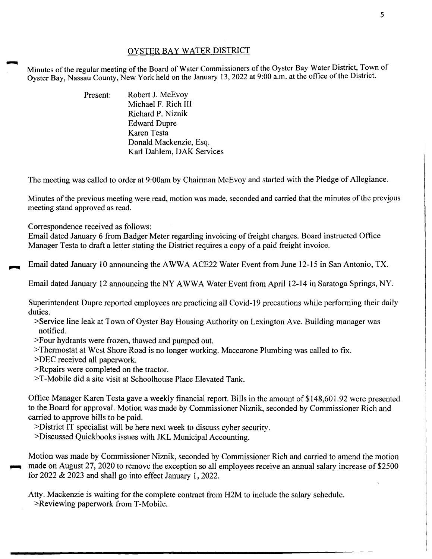## OYSTER BAY WATER DISTRICT

Minutes of the regular meeting of the Board of Water Commissioners of the Oyster Bay Water District, Town of Oyster Bay, Nassau County, New York held on the January 13, 2022 at 9:00 a.m. at the office of the District.

| Present: | Robert J. McEvoy          |
|----------|---------------------------|
|          | Michael F. Rich III       |
|          | Richard P. Niznik         |
|          | <b>Edward Dupre</b>       |
|          | Karen Testa               |
|          | Donald Mackenzie, Esq.    |
|          | Karl Dahlem, DAK Services |

The meeting was called to order at 9:00am by Chairman McEvoy and started with the Pledge of Allegiance.

Minutes of the previous meeting were read, motion was made, seconded and carried that the minutes of the previous meeting stand approved as read.

Correspondence received as follows:

Email dated January 6 from Badger Meter regarding invoicing of freight charges. Board instructed Office Manager Testa to draft a letter stating the District requires a copy of a paid freight invoice.

Email dated January 10 announcing the A WWA ACE22 Water Event from June 12-15 in San Antonio, TX.

Email dated January 12 announcing the NY AWWA Water Event from April 12-14 in Saratoga Springs, NY.

Superintendent Dupre reported employees are practicing all Covid-19 precautions while performing their daily duties.

- >Service line leak at Town of Oyster Bay Housing Authority on Lexington Ave. Building manager was notified.
- >Four hydrants were frozen, thawed and pumped out.
- >Thermostat at West Shore Road is no longer working. Maccarone Plumbing was called to fix.

>DEC received all paperwork.

>Repairs were completed on the tractor.

>T-Mobile did a site visit at Schoolhouse Place Elevated Tank.

Office Manager Karen Testa gave a weekly financial report. Bills in the amount of \$148,601.92 were presented to the Board for approval. Motion was made by Commissioner Niznik, seconded by Commissioner Rich and carried to approve bills to be paid.

>District IT specialist will be here next week to discuss cyber security.

>Discussed Quickbooks issues with JKL Municipal Accounting.

Motion was made by Commissioner Niznik, seconded by Commissioner Rich and carried to amend the motion made on August 27, 2020 to remove the exception so all employees receive an annual salary increase of \$2500 for 2022 & 2023 and shall go into effect January 1, 2022.

Atty. Mackenzie is waiting for the complete contract from H2M to include the salary schedule.

>Reviewing paperwork from T-Mobile.